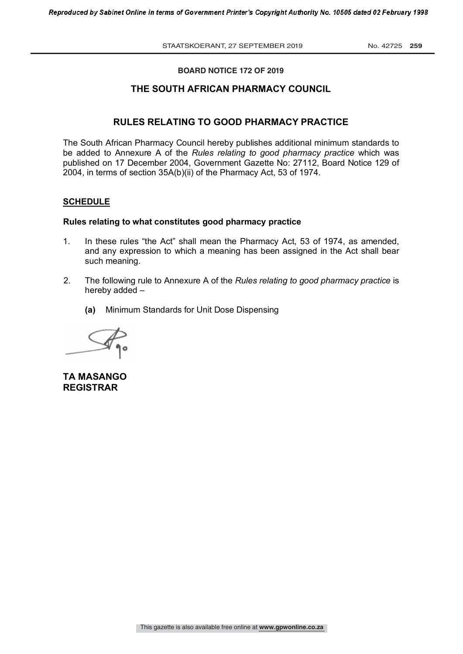#### **BOARD NOTICE 172 OF 2019**

# **THE SOUTH AFRICAN PHARMACY COUNCIL**

# **RULES RELATING TO GOOD PHARMACY PRACTICE**

The South African Pharmacy Council hereby publishes additional minimum standards to be added to Annexure A of the *Rules relating to good pharmacy practice* which was published on 17 December 2004, Government Gazette No: 27112, Board Notice 129 of 2004, in terms of section 35A(b)(ii) of the Pharmacy Act, 53 of 1974.

### **SCHEDULE**

#### **Rules relating to what constitutes good pharmacy practice**

- 1. In these rules "the Act" shall mean the Pharmacy Act, 53 of 1974, as amended, and any expression to which a meaning has been assigned in the Act shall bear such meaning.
- 2. The following rule to Annexure A of the *Rules relating to good pharmacy practice* is hereby added –
	- **(a)** Minimum Standards for Unit Dose Dispensing



**TA MASANGO REGISTRAR**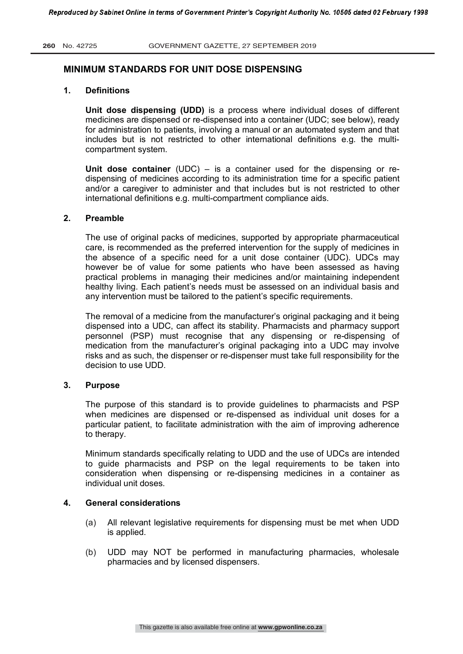# **MINIMUM STANDARDS FOR UNIT DOSE DISPENSING**

# **1. Definitions**

**Unit dose dispensing (UDD)** is a process where individual doses of different medicines are dispensed or re-dispensed into a container (UDC; see below), ready for administration to patients, involving a manual or an automated system and that includes but is not restricted to other international definitions e.g. the multicompartment system.

**Unit dose container** (UDC) – is a container used for the dispensing or redispensing of medicines according to its administration time for a specific patient and/or a caregiver to administer and that includes but is not restricted to other international definitions e.g. multi-compartment compliance aids.

### **2. Preamble**

The use of original packs of medicines, supported by appropriate pharmaceutical care, is recommended as the preferred intervention for the supply of medicines in the absence of a specific need for a unit dose container (UDC). UDCs may however be of value for some patients who have been assessed as having practical problems in managing their medicines and/or maintaining independent healthy living. Each patient's needs must be assessed on an individual basis and any intervention must be tailored to the patient's specific requirements.

The removal of a medicine from the manufacturer's original packaging and it being dispensed into a UDC, can affect its stability. Pharmacists and pharmacy support personnel (PSP) must recognise that any dispensing or re-dispensing of medication from the manufacturer's original packaging into a UDC may involve risks and as such, the dispenser or re-dispenser must take full responsibility for the decision to use UDD.

#### **3. Purpose**

The purpose of this standard is to provide guidelines to pharmacists and PSP when medicines are dispensed or re-dispensed as individual unit doses for a particular patient, to facilitate administration with the aim of improving adherence to therapy.

Minimum standards specifically relating to UDD and the use of UDCs are intended to guide pharmacists and PSP on the legal requirements to be taken into consideration when dispensing or re-dispensing medicines in a container as individual unit doses.

# **4. General considerations**

- (a) All relevant legislative requirements for dispensing must be met when UDD is applied.
- (b) UDD may NOT be performed in manufacturing pharmacies, wholesale pharmacies and by licensed dispensers.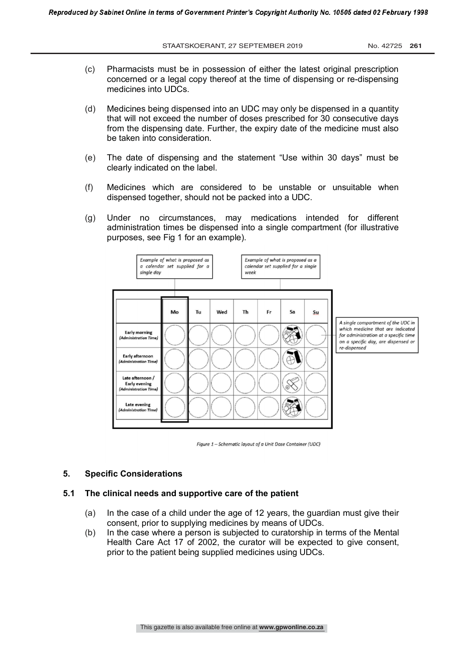STAATSKOERANT, 27 SEPTEMBER 2019

No. 42725 261

- $(c)$ Pharmacists must be in possession of either the latest original prescription concerned or a legal copy thereof at the time of dispensing or re-dispensing medicines into UDCs.
- $(d)$ Medicines being dispensed into an UDC may only be dispensed in a quantity that will not exceed the number of doses prescribed for 30 consecutive days from the dispensing date. Further, the expiry date of the medicine must also be taken into consideration.
- The date of dispensing and the statement "Use within 30 days" must be  $(e)$ clearly indicated on the label.
- $(f)$ Medicines which are considered to be unstable or unsuitable when dispensed together, should not be packed into a UDC.
- $(q)$ Under no circumstances, may medications intended for different administration times be dispensed into a single compartment (for illustrative purposes, see Fig 1 for an example).





#### 5 **Specific Considerations**

#### $5.1$ The clinical needs and supportive care of the patient

- $(a)$ In the case of a child under the age of 12 years, the guardian must give their consent, prior to supplying medicines by means of UDCs.
- $(b)$ In the case where a person is subjected to curatorship in terms of the Mental Health Care Act 17 of 2002, the curator will be expected to give consent, prior to the patient being supplied medicines using UDCs.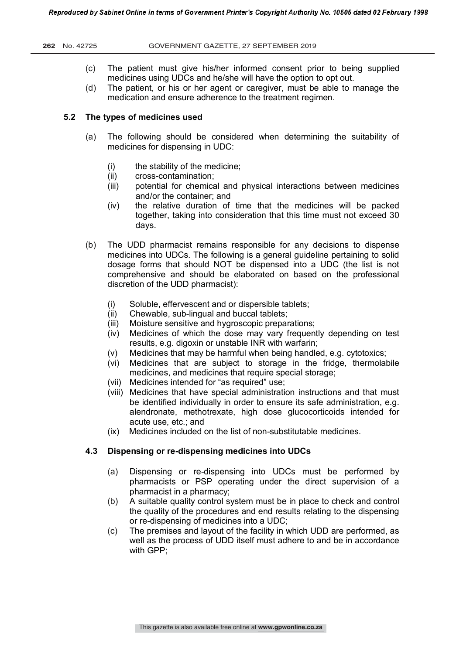- (c) The patient must give his/her informed consent prior to being supplied medicines using UDCs and he/she will have the option to opt out.
- (d) The patient, or his or her agent or caregiver, must be able to manage the medication and ensure adherence to the treatment regimen.

# **5.2 The types of medicines used**

- (a) The following should be considered when determining the suitability of medicines for dispensing in UDC:
	- (i) the stability of the medicine;
	- (ii) cross-contamination;
	- (iii) potential for chemical and physical interactions between medicines and/or the container; and
	- (iv) the relative duration of time that the medicines will be packed together, taking into consideration that this time must not exceed 30 days.
- (b) The UDD pharmacist remains responsible for any decisions to dispense medicines into UDCs. The following is a general guideline pertaining to solid dosage forms that should NOT be dispensed into a UDC (the list is not comprehensive and should be elaborated on based on the professional discretion of the UDD pharmacist):
	- (i) Soluble, effervescent and or dispersible tablets;
	- (ii) Chewable, sub-lingual and buccal tablets;
	- (iii) Moisture sensitive and hygroscopic preparations;
	- (iv) Medicines of which the dose may vary frequently depending on test results, e.g. digoxin or unstable INR with warfarin;
	- (v) Medicines that may be harmful when being handled, e.g. cytotoxics;
	- (vi) Medicines that are subject to storage in the fridge, thermolabile medicines, and medicines that require special storage;
	- (vii) Medicines intended for "as required" use;
	- (viii) Medicines that have special administration instructions and that must be identified individually in order to ensure its safe administration, e.g. alendronate, methotrexate, high dose glucocorticoids intended for acute use, etc.; and
	- (ix) Medicines included on the list of non-substitutable medicines.

# **4.3 Dispensing or re-dispensing medicines into UDCs**

- (a) Dispensing or re-dispensing into UDCs must be performed by pharmacists or PSP operating under the direct supervision of a pharmacist in a pharmacy;
- (b) A suitable quality control system must be in place to check and control the quality of the procedures and end results relating to the dispensing or re-dispensing of medicines into a UDC;
- (c) The premises and layout of the facility in which UDD are performed, as well as the process of UDD itself must adhere to and be in accordance with GPP;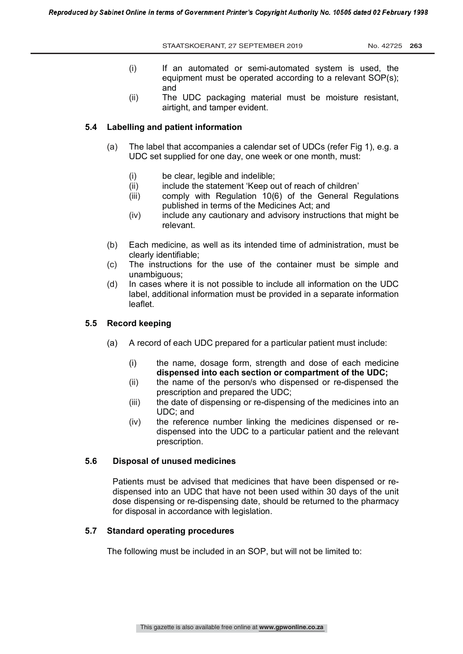STAATSKOERANT, 27 SEPTEMBER 2019 No. 42725 263

- (i) If an automated or semi-automated system is used, the equipment must be operated according to a relevant SOP(s); and
- (ii) The UDC packaging material must be moisture resistant, airtight, and tamper evident.

# **5.4 Labelling and patient information**

- (a) The label that accompanies a calendar set of UDCs (refer Fig 1), e.g. a UDC set supplied for one day, one week or one month, must:
	- (i) be clear, legible and indelible;<br>(ii) include the statement 'Keep or
	- include the statement 'Keep out of reach of children'
	- (iii) comply with Regulation 10(6) of the General Regulations published in terms of the Medicines Act; and
	- (iv) include any cautionary and advisory instructions that might be relevant.
- (b) Each medicine, as well as its intended time of administration, must be clearly identifiable;
- (c) The instructions for the use of the container must be simple and unambiguous;
- (d) In cases where it is not possible to include all information on the UDC label, additional information must be provided in a separate information leaflet.

# **5.5 Record keeping**

- (a) A record of each UDC prepared for a particular patient must include:
	- (i) the name, dosage form, strength and dose of each medicine **dispensed into each section or compartment of the UDC;**
	- (ii) the name of the person/s who dispensed or re-dispensed the prescription and prepared the UDC;
	- (iii) the date of dispensing or re-dispensing of the medicines into an UDC; and
	- (iv) the reference number linking the medicines dispensed or redispensed into the UDC to a particular patient and the relevant prescription.

# **5.6 Disposal of unused medicines**

Patients must be advised that medicines that have been dispensed or redispensed into an UDC that have not been used within 30 days of the unit dose dispensing or re-dispensing date, should be returned to the pharmacy for disposal in accordance with legislation.

# **5.7 Standard operating procedures**

The following must be included in an SOP, but will not be limited to: